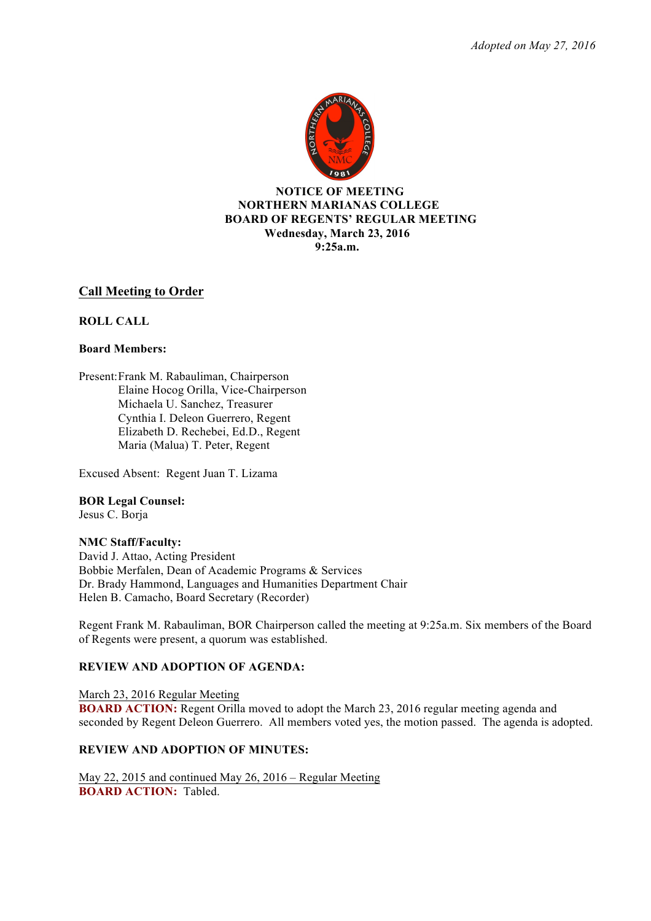*Adopted on May 27, 2016*



# **NOTICE OF MEETING NORTHERN MARIANAS COLLEGE BOARD OF REGENTS' REGULAR MEETING Wednesday, March 23, 2016 9:25a.m.**

# **Call Meeting to Order**

# **ROLL CALL**

### **Board Members:**

Present:Frank M. Rabauliman, Chairperson Elaine Hocog Orilla, Vice-Chairperson Michaela U. Sanchez, Treasurer Cynthia I. Deleon Guerrero, Regent Elizabeth D. Rechebei, Ed.D., Regent Maria (Malua) T. Peter, Regent

Excused Absent: Regent Juan T. Lizama

**BOR Legal Counsel:**

Jesus C. Borja

### **NMC Staff/Faculty:**

David J. Attao, Acting President Bobbie Merfalen, Dean of Academic Programs & Services Dr. Brady Hammond, Languages and Humanities Department Chair Helen B. Camacho, Board Secretary (Recorder)

Regent Frank M. Rabauliman, BOR Chairperson called the meeting at 9:25a.m. Six members of the Board of Regents were present, a quorum was established.

# **REVIEW AND ADOPTION OF AGENDA:**

March 23, 2016 Regular Meeting **BOARD ACTION:** Regent Orilla moved to adopt the March 23, 2016 regular meeting agenda and seconded by Regent Deleon Guerrero. All members voted yes, the motion passed. The agenda is adopted.

### **REVIEW AND ADOPTION OF MINUTES:**

May 22, 2015 and continued May 26, 2016 – Regular Meeting **BOARD ACTION:** Tabled.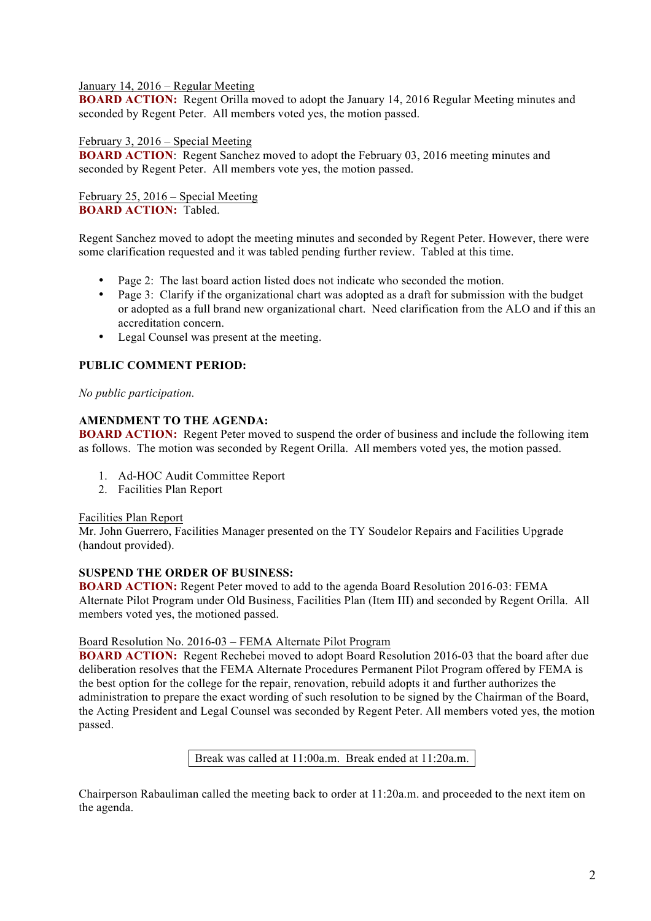# January 14, 2016 – Regular Meeting

**BOARD ACTION:** Regent Orilla moved to adopt the January 14, 2016 Regular Meeting minutes and seconded by Regent Peter. All members voted yes, the motion passed.

# February 3, 2016 – Special Meeting

**BOARD ACTION:** Regent Sanchez moved to adopt the February 03, 2016 meeting minutes and seconded by Regent Peter. All members vote yes, the motion passed.

February 25, 2016 – Special Meeting **BOARD ACTION:** Tabled.

Regent Sanchez moved to adopt the meeting minutes and seconded by Regent Peter. However, there were some clarification requested and it was tabled pending further review. Tabled at this time.

- Page 2: The last board action listed does not indicate who seconded the motion.
- Page 3: Clarify if the organizational chart was adopted as a draft for submission with the budget or adopted as a full brand new organizational chart. Need clarification from the ALO and if this an accreditation concern.
- Legal Counsel was present at the meeting.

# **PUBLIC COMMENT PERIOD:**

*No public participation.* 

# **AMENDMENT TO THE AGENDA:**

**BOARD ACTION:** Regent Peter moved to suspend the order of business and include the following item as follows. The motion was seconded by Regent Orilla. All members voted yes, the motion passed.

- 1. Ad-HOC Audit Committee Report
- 2. Facilities Plan Report

### Facilities Plan Report

Mr. John Guerrero, Facilities Manager presented on the TY Soudelor Repairs and Facilities Upgrade (handout provided).

# **SUSPEND THE ORDER OF BUSINESS:**

**BOARD ACTION:** Regent Peter moved to add to the agenda Board Resolution 2016-03: FEMA Alternate Pilot Program under Old Business, Facilities Plan (Item III) and seconded by Regent Orilla. All members voted yes, the motioned passed.

### Board Resolution No. 2016-03 – FEMA Alternate Pilot Program

**BOARD ACTION:** Regent Rechebei moved to adopt Board Resolution 2016-03 that the board after due deliberation resolves that the FEMA Alternate Procedures Permanent Pilot Program offered by FEMA is the best option for the college for the repair, renovation, rebuild adopts it and further authorizes the administration to prepare the exact wording of such resolution to be signed by the Chairman of the Board, the Acting President and Legal Counsel was seconded by Regent Peter. All members voted yes, the motion passed.

Break was called at 11:00a.m. Break ended at 11:20a.m.

Chairperson Rabauliman called the meeting back to order at 11:20a.m. and proceeded to the next item on the agenda.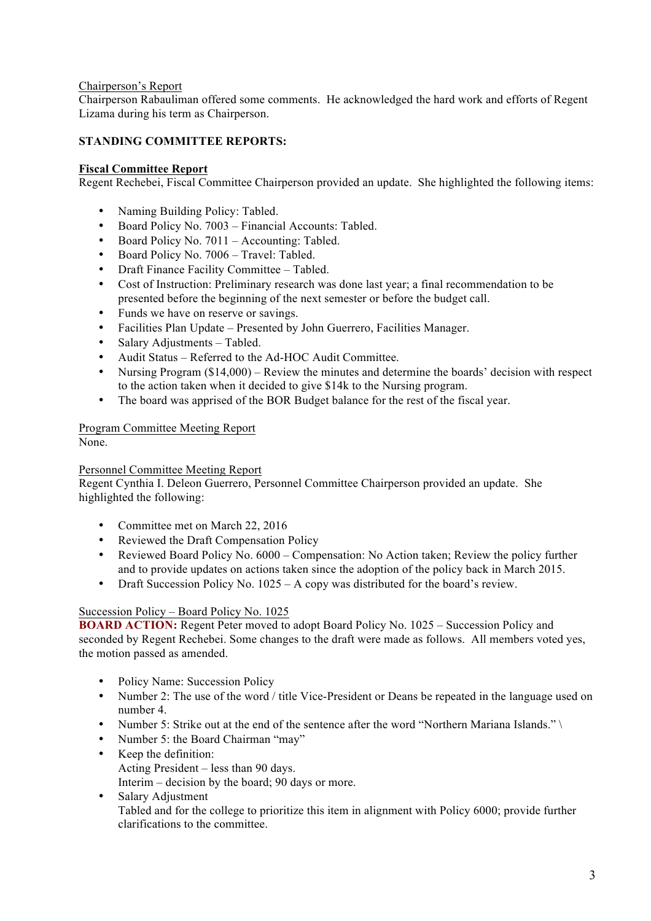# Chairperson's Report

Chairperson Rabauliman offered some comments. He acknowledged the hard work and efforts of Regent Lizama during his term as Chairperson.

# **STANDING COMMITTEE REPORTS:**

### **Fiscal Committee Report**

Regent Rechebei, Fiscal Committee Chairperson provided an update. She highlighted the following items:

- Naming Building Policy: Tabled.
- Board Policy No. 7003 Financial Accounts: Tabled.
- Board Policy No. 7011 Accounting: Tabled.
- Board Policy No. 7006 Travel: Tabled.
- Draft Finance Facility Committee Tabled.
- Cost of Instruction: Preliminary research was done last year; a final recommendation to be presented before the beginning of the next semester or before the budget call.
- Funds we have on reserve or savings.
- Facilities Plan Update Presented by John Guerrero, Facilities Manager.
- Salary Adjustments Tabled.
- Audit Status Referred to the Ad-HOC Audit Committee.
- Nursing Program (\$14,000) Review the minutes and determine the boards' decision with respect to the action taken when it decided to give \$14k to the Nursing program.
- The board was apprised of the BOR Budget balance for the rest of the fiscal year.

# Program Committee Meeting Report

None.

### Personnel Committee Meeting Report

Regent Cynthia I. Deleon Guerrero, Personnel Committee Chairperson provided an update. She highlighted the following:

- Committee met on March 22, 2016
- Reviewed the Draft Compensation Policy
- Reviewed Board Policy No. 6000 Compensation: No Action taken; Review the policy further and to provide updates on actions taken since the adoption of the policy back in March 2015.
- Draft Succession Policy No. 1025 A copy was distributed for the board's review.

### Succession Policy – Board Policy No. 1025

**BOARD ACTION:** Regent Peter moved to adopt Board Policy No. 1025 – Succession Policy and seconded by Regent Rechebei. Some changes to the draft were made as follows. All members voted yes, the motion passed as amended.

- Policy Name: Succession Policy
- Number 2: The use of the word / title Vice-President or Deans be repeated in the language used on number 4.
- Number 5: Strike out at the end of the sentence after the word "Northern Mariana Islands." \
- Number 5: the Board Chairman "may"
- Keep the definition: Acting President – less than 90 days. Interim – decision by the board; 90 days or more.
- Salary Adjustment Tabled and for the college to prioritize this item in alignment with Policy 6000; provide further clarifications to the committee.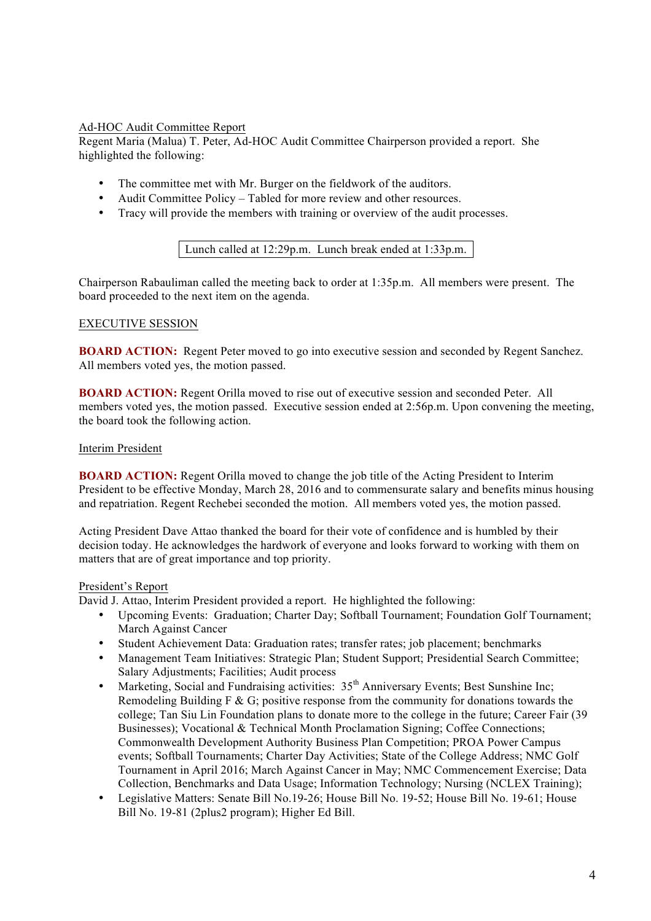# Ad-HOC Audit Committee Report

Regent Maria (Malua) T. Peter, Ad-HOC Audit Committee Chairperson provided a report. She highlighted the following:

- The committee met with Mr. Burger on the fieldwork of the auditors.
- Audit Committee Policy Tabled for more review and other resources.
- Tracy will provide the members with training or overview of the audit processes.

Lunch called at 12:29p.m. Lunch break ended at 1:33p.m.

Chairperson Rabauliman called the meeting back to order at 1:35p.m. All members were present. The board proceeded to the next item on the agenda.

# EXECUTIVE SESSION

**BOARD ACTION:** Regent Peter moved to go into executive session and seconded by Regent Sanchez. All members voted yes, the motion passed.

**BOARD ACTION:** Regent Orilla moved to rise out of executive session and seconded Peter. All members voted yes, the motion passed. Executive session ended at 2:56p.m. Upon convening the meeting, the board took the following action.

# Interim President

**BOARD ACTION:** Regent Orilla moved to change the job title of the Acting President to Interim President to be effective Monday, March 28, 2016 and to commensurate salary and benefits minus housing and repatriation. Regent Rechebei seconded the motion. All members voted yes, the motion passed.

Acting President Dave Attao thanked the board for their vote of confidence and is humbled by their decision today. He acknowledges the hardwork of everyone and looks forward to working with them on matters that are of great importance and top priority.

### President's Report

David J. Attao, Interim President provided a report. He highlighted the following:

- Upcoming Events: Graduation; Charter Day; Softball Tournament; Foundation Golf Tournament; March Against Cancer
- Student Achievement Data: Graduation rates; transfer rates; job placement; benchmarks
- Management Team Initiatives: Strategic Plan; Student Support; Presidential Search Committee; Salary Adjustments; Facilities; Audit process
- Marketing, Social and Fundraising activities:  $35<sup>th</sup>$  Anniversary Events; Best Sunshine Inc; Remodeling Building F & G; positive response from the community for donations towards the college; Tan Siu Lin Foundation plans to donate more to the college in the future; Career Fair (39 Businesses); Vocational & Technical Month Proclamation Signing; Coffee Connections; Commonwealth Development Authority Business Plan Competition; PROA Power Campus events; Softball Tournaments; Charter Day Activities; State of the College Address; NMC Golf Tournament in April 2016; March Against Cancer in May; NMC Commencement Exercise; Data Collection, Benchmarks and Data Usage; Information Technology; Nursing (NCLEX Training);
- Legislative Matters: Senate Bill No. 19-26; House Bill No. 19-52; House Bill No. 19-61; House Bill No. 19-81 (2plus2 program); Higher Ed Bill.